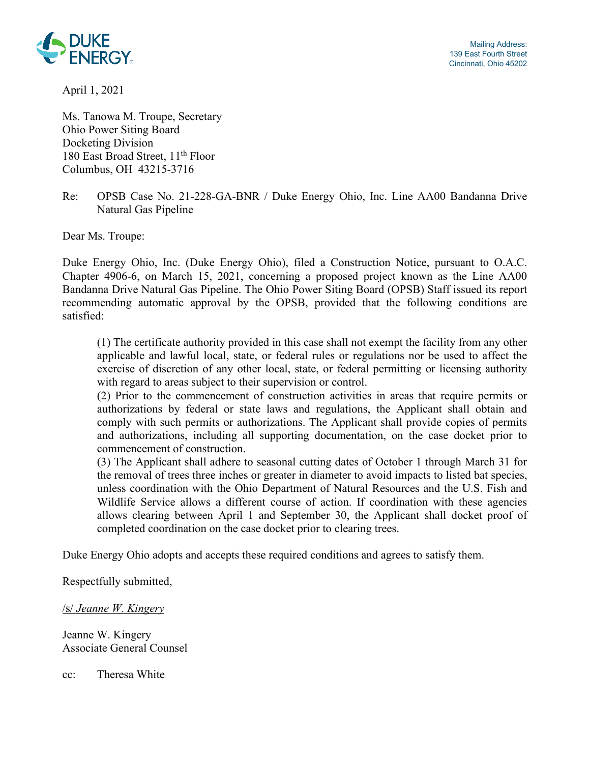

Mailing Address: 139 East Fourth Street Cincinnati, Ohio 45202

April 1, 2021

Ms. Tanowa M. Troupe, Secretary Ohio Power Siting Board Docketing Division 180 East Broad Street, 11<sup>th</sup> Floor Columbus, OH 43215-3716

## Re: OPSB Case No. 21-228-GA-BNR / Duke Energy Ohio, Inc. Line AA00 Bandanna Drive Natural Gas Pipeline

Dear Ms. Troupe:

Duke Energy Ohio, Inc. (Duke Energy Ohio), filed a Construction Notice, pursuant to O.A.C. Chapter 4906-6, on March 15, 2021, concerning a proposed project known as the Line AA00 Bandanna Drive Natural Gas Pipeline. The Ohio Power Siting Board (OPSB) Staff issued its report recommending automatic approval by the OPSB, provided that the following conditions are satisfied:

(1) The certificate authority provided in this case shall not exempt the facility from any other applicable and lawful local, state, or federal rules or regulations nor be used to affect the exercise of discretion of any other local, state, or federal permitting or licensing authority with regard to areas subject to their supervision or control.

(2) Prior to the commencement of construction activities in areas that require permits or authorizations by federal or state laws and regulations, the Applicant shall obtain and comply with such permits or authorizations. The Applicant shall provide copies of permits and authorizations, including all supporting documentation, on the case docket prior to commencement of construction.

(3) The Applicant shall adhere to seasonal cutting dates of October 1 through March 31 for the removal of trees three inches or greater in diameter to avoid impacts to listed bat species, unless coordination with the Ohio Department of Natural Resources and the U.S. Fish and Wildlife Service allows a different course of action. If coordination with these agencies allows clearing between April 1 and September 30, the Applicant shall docket proof of completed coordination on the case docket prior to clearing trees.

Duke Energy Ohio adopts and accepts these required conditions and agrees to satisfy them.

Respectfully submitted,

## /s/ *Jeanne W. Kingery*

Jeanne W. Kingery Associate General Counsel

cc: Theresa White